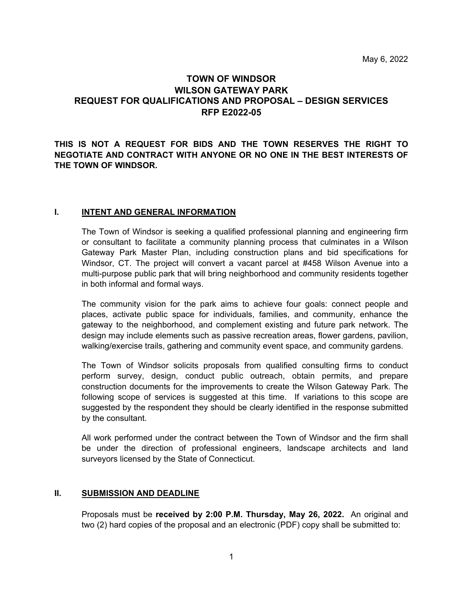# **TOWN OF WINDSOR WILSON GATEWAY PARK REQUEST FOR QUALIFICATIONS AND PROPOSAL – DESIGN SERVICES RFP E2022-05**

## **THIS IS NOT A REQUEST FOR BIDS AND THE TOWN RESERVES THE RIGHT TO NEGOTIATE AND CONTRACT WITH ANYONE OR NO ONE IN THE BEST INTERESTS OF THE TOWN OF WINDSOR.**

### **I. INTENT AND GENERAL INFORMATION**

The Town of Windsor is seeking a qualified professional planning and engineering firm or consultant to facilitate a community planning process that culminates in a Wilson Gateway Park Master Plan, including construction plans and bid specifications for Windsor, CT. The project will convert a vacant parcel at #458 Wilson Avenue into a multi-purpose public park that will bring neighborhood and community residents together in both informal and formal ways.

The community vision for the park aims to achieve four goals: connect people and places, activate public space for individuals, families, and community, enhance the gateway to the neighborhood, and complement existing and future park network. The design may include elements such as passive recreation areas, flower gardens, pavilion, walking/exercise trails, gathering and community event space, and community gardens.

The Town of Windsor solicits proposals from qualified consulting firms to conduct perform survey, design, conduct public outreach, obtain permits, and prepare construction documents for the improvements to create the Wilson Gateway Park. The following scope of services is suggested at this time. If variations to this scope are suggested by the respondent they should be clearly identified in the response submitted by the consultant.

 All work performed under the contract between the Town of Windsor and the firm shall be under the direction of professional engineers, landscape architects and land surveyors licensed by the State of Connecticut.

#### **II. SUBMISSION AND DEADLINE**

 Proposals must be **received by 2:00 P.M. Thursday, May 26, 2022.** An original and two (2) hard copies of the proposal and an electronic (PDF) copy shall be submitted to: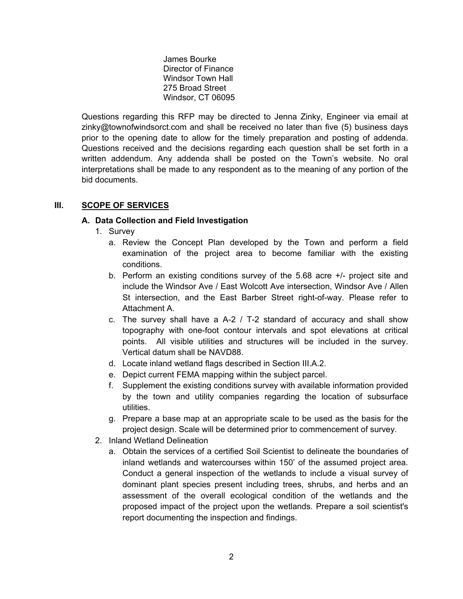James Bourke Director of Finance Windsor Town Hall 275 Broad Street Windsor, CT 06095

Questions regarding this RFP may be directed to Jenna Zinky, Engineer via email at zinky@townofwindsorct.com and shall be received no later than five (5) business days prior to the opening date to allow for the timely preparation and posting of addenda. Questions received and the decisions regarding each question shall be set forth in a written addendum. Any addenda shall be posted on the Town's website. No oral interpretations shall be made to any respondent as to the meaning of any portion of the bid documents.

## **III. SCOPE OF SERVICES**

## **A. Data Collection and Field Investigation**

- 1. Survey
	- a. Review the Concept Plan developed by the Town and perform a field examination of the project area to become familiar with the existing conditions.
	- b. Perform an existing conditions survey of the 5.68 acre +/- project site and include the Windsor Ave / East Wolcott Ave intersection, Windsor Ave / Allen St intersection, and the East Barber Street right-of-way. Please refer to Attachment A.
	- c. The survey shall have a A-2 / T-2 standard of accuracy and shall show topography with one-foot contour intervals and spot elevations at critical points. All visible utilities and structures will be included in the survey. Vertical datum shall be NAVD88.
	- d. Locate inland wetland flags described in Section III.A.2.
	- e. Depict current FEMA mapping within the subject parcel.
	- f. Supplement the existing conditions survey with available information provided by the town and utility companies regarding the location of subsurface utilities.
	- g. Prepare a base map at an appropriate scale to be used as the basis for the project design. Scale will be determined prior to commencement of survey.
- 2. Inland Wetland Delineation
	- a. Obtain the services of a certified Soil Scientist to delineate the boundaries of inland wetlands and watercourses within 150' of the assumed project area. Conduct a general inspection of the wetlands to include a visual survey of dominant plant species present including trees, shrubs, and herbs and an assessment of the overall ecological condition of the wetlands and the proposed impact of the project upon the wetlands. Prepare a soil scientist's report documenting the inspection and findings.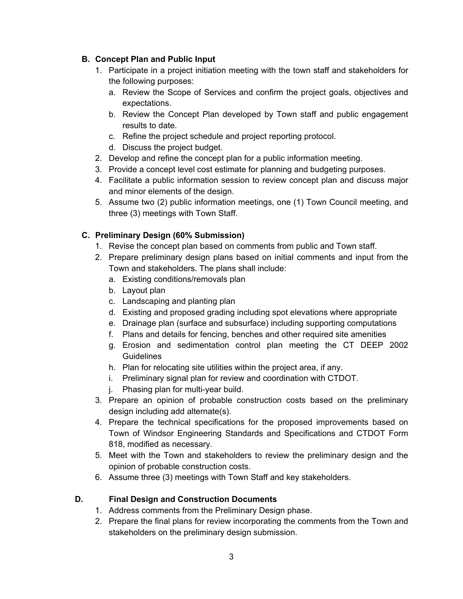# **B. Concept Plan and Public Input**

- 1. Participate in a project initiation meeting with the town staff and stakeholders for the following purposes:
	- a. Review the Scope of Services and confirm the project goals, objectives and expectations.
	- b. Review the Concept Plan developed by Town staff and public engagement results to date.
	- c. Refine the project schedule and project reporting protocol.
	- d. Discuss the project budget.
- 2. Develop and refine the concept plan for a public information meeting.
- 3. Provide a concept level cost estimate for planning and budgeting purposes.
- 4. Facilitate a public information session to review concept plan and discuss major and minor elements of the design.
- 5. Assume two (2) public information meetings, one (1) Town Council meeting, and three (3) meetings with Town Staff.

# **C. Preliminary Design (60% Submission)**

- 1. Revise the concept plan based on comments from public and Town staff.
- 2. Prepare preliminary design plans based on initial comments and input from the Town and stakeholders. The plans shall include:
	- a. Existing conditions/removals plan
	- b. Layout plan
	- c. Landscaping and planting plan
	- d. Existing and proposed grading including spot elevations where appropriate
	- e. Drainage plan (surface and subsurface) including supporting computations
	- f. Plans and details for fencing, benches and other required site amenities
	- g. Erosion and sedimentation control plan meeting the CT DEEP 2002 **Guidelines**
	- h. Plan for relocating site utilities within the project area, if any.
	- i. Preliminary signal plan for review and coordination with CTDOT.
	- j. Phasing plan for multi-year build.
- 3. Prepare an opinion of probable construction costs based on the preliminary design including add alternate(s).
- 4. Prepare the technical specifications for the proposed improvements based on Town of Windsor Engineering Standards and Specifications and CTDOT Form 818, modified as necessary.
- 5. Meet with the Town and stakeholders to review the preliminary design and the opinion of probable construction costs.
- 6. Assume three (3) meetings with Town Staff and key stakeholders.

## **D. Final Design and Construction Documents**

- 1. Address comments from the Preliminary Design phase.
- 2. Prepare the final plans for review incorporating the comments from the Town and stakeholders on the preliminary design submission.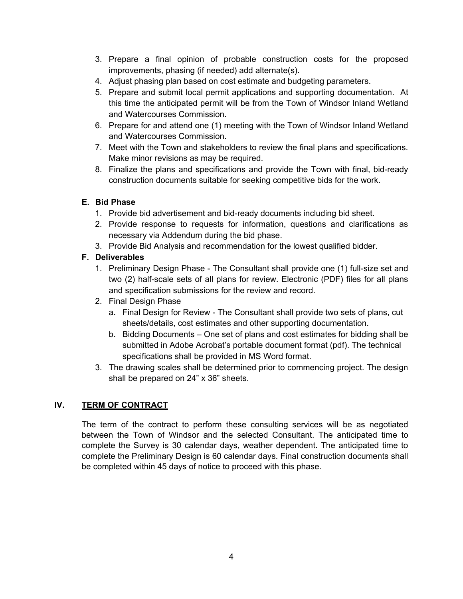- 3. Prepare a final opinion of probable construction costs for the proposed improvements, phasing (if needed) add alternate(s).
- 4. Adjust phasing plan based on cost estimate and budgeting parameters.
- 5. Prepare and submit local permit applications and supporting documentation. At this time the anticipated permit will be from the Town of Windsor Inland Wetland and Watercourses Commission.
- 6. Prepare for and attend one (1) meeting with the Town of Windsor Inland Wetland and Watercourses Commission.
- 7. Meet with the Town and stakeholders to review the final plans and specifications. Make minor revisions as may be required.
- 8. Finalize the plans and specifications and provide the Town with final, bid-ready construction documents suitable for seeking competitive bids for the work.

## **E. Bid Phase**

- 1. Provide bid advertisement and bid-ready documents including bid sheet.
- 2. Provide response to requests for information, questions and clarifications as necessary via Addendum during the bid phase.
- 3. Provide Bid Analysis and recommendation for the lowest qualified bidder.

# **F. Deliverables**

- 1. Preliminary Design Phase The Consultant shall provide one (1) full-size set and two (2) half-scale sets of all plans for review. Electronic (PDF) files for all plans and specification submissions for the review and record.
- 2. Final Design Phase
	- a. Final Design for Review The Consultant shall provide two sets of plans, cut sheets/details, cost estimates and other supporting documentation.
	- b. Bidding Documents One set of plans and cost estimates for bidding shall be submitted in Adobe Acrobat's portable document format (pdf). The technical specifications shall be provided in MS Word format.
- 3. The drawing scales shall be determined prior to commencing project. The design shall be prepared on 24" x 36" sheets.

## **IV. TERM OF CONTRACT**

The term of the contract to perform these consulting services will be as negotiated between the Town of Windsor and the selected Consultant. The anticipated time to complete the Survey is 30 calendar days, weather dependent. The anticipated time to complete the Preliminary Design is 60 calendar days. Final construction documents shall be completed within 45 days of notice to proceed with this phase.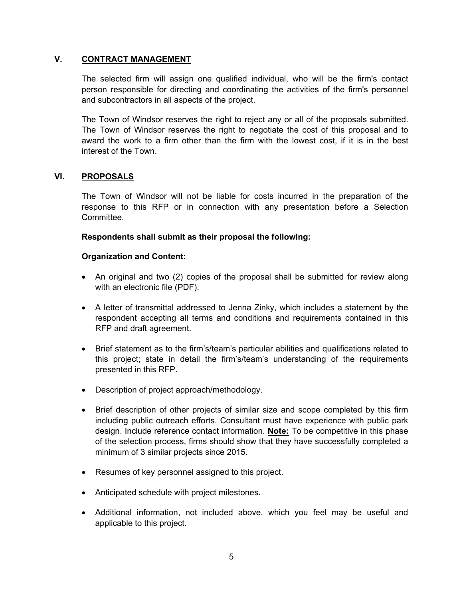### **V. CONTRACT MANAGEMENT**

The selected firm will assign one qualified individual, who will be the firm's contact person responsible for directing and coordinating the activities of the firm's personnel and subcontractors in all aspects of the project.

The Town of Windsor reserves the right to reject any or all of the proposals submitted. The Town of Windsor reserves the right to negotiate the cost of this proposal and to award the work to a firm other than the firm with the lowest cost, if it is in the best interest of the Town.

### **VI. PROPOSALS**

The Town of Windsor will not be liable for costs incurred in the preparation of the response to this RFP or in connection with any presentation before a Selection Committee.

### **Respondents shall submit as their proposal the following:**

#### **Organization and Content:**

- An original and two (2) copies of the proposal shall be submitted for review along with an electronic file (PDF).
- A letter of transmittal addressed to Jenna Zinky, which includes a statement by the respondent accepting all terms and conditions and requirements contained in this RFP and draft agreement.
- Brief statement as to the firm's/team's particular abilities and qualifications related to this project; state in detail the firm's/team's understanding of the requirements presented in this RFP.
- Description of project approach/methodology.
- Brief description of other projects of similar size and scope completed by this firm including public outreach efforts. Consultant must have experience with public park design. Include reference contact information. **Note:** To be competitive in this phase of the selection process, firms should show that they have successfully completed a minimum of 3 similar projects since 2015.
- Resumes of key personnel assigned to this project.
- Anticipated schedule with project milestones.
- Additional information, not included above, which you feel may be useful and applicable to this project.